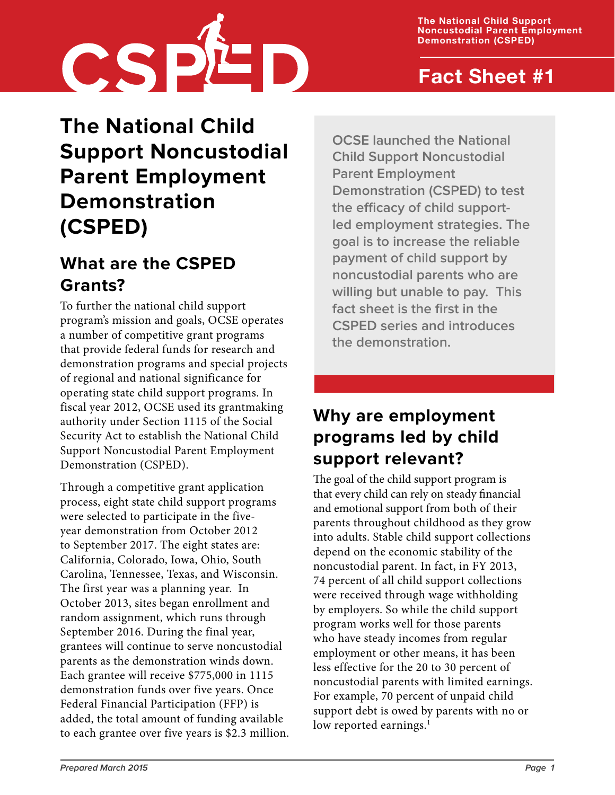**The National Child Support Noncustodial Parent Employment Demonstration (CSPED)**



## **Fact Sheet #1**

# **The National Child Support Noncustodial Parent Employment Demonstration (CSPED)**

### **What are the CSPED Grants?**

To further the national child support program's mission and goals, OCSE operates a number of competitive grant programs that provide federal funds for research and demonstration programs and special projects of regional and national significance for operating state child support programs. In fiscal year 2012, OCSE used its grantmaking authority under Section 1115 of the Social Security Act to establish the National Child Support Noncustodial Parent Employment Demonstration (CSPED).

Through a competitive grant application process, eight state child support programs were selected to participate in the fiveyear demonstration from October 2012 to September 2017. The eight states are: California, Colorado, Iowa, Ohio, South Carolina, Tennessee, Texas, and Wisconsin. The first year was a planning year. In October 2013, sites began enrollment and random assignment, which runs through September 2016. During the final year, grantees will continue to serve noncustodial parents as the demonstration winds down. Each grantee will receive \$775,000 in 1115 demonstration funds over five years. Once Federal Financial Participation (FFP) is added, the total amount of funding available to each grantee over five years is \$2.3 million. **OCSE launched the National Child Support Noncustodial Parent Employment Demonstration (CSPED) to test the efficacy of child supportled employment strategies. The goal is to increase the reliable payment of child support by noncustodial parents who are willing but unable to pay. This fact sheet is the first in the CSPED series and introduces the demonstration.**

## **Why are employment programs led by child support relevant?**

The goal of the child support program is that every child can rely on steady financial and emotional support from both of their parents throughout childhood as they grow into adults. Stable child support collections depend on the economic stability of the noncustodial parent. In fact, in FY 2013, 74 percent of all child support collections were received through wage withholding by employers. So while the child support program works well for those parents who have steady incomes from regular employment or other means, it has been less effective for the 20 to 30 percent of noncustodial parents with limited earnings. For example, 70 percent of unpaid child support debt is owed by parents with no or low reported earnings. $<sup>1</sup>$  $<sup>1</sup>$  $<sup>1</sup>$ </sup>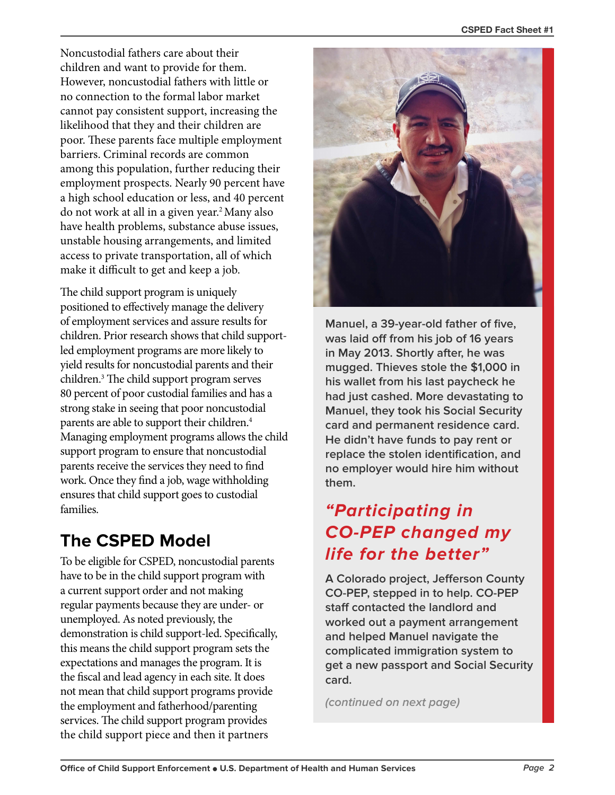Noncustodial fathers care about their children and want to provide for them. However, noncustodial fathers with little or no connection to the formal labor market cannot pay consistent support, increasing the likelihood that they and their children are poor. These parents face multiple employment barriers. Criminal records are common among this population, further reducing their employment prospects. Nearly 90 percent have a high school education or less, and 40 percent do not work at all in a given year[.2](#page-3-1)Many also have health problems, substance abuse issues, unstable housing arrangements, and limited access to private transportation, all of which make it difficult to get and keep a job.

The child support program is uniquely positioned to effectively manage the delivery of employment services and assure results for children. Prior research shows that child supportled employment programs are more likely to yield results for noncustodial parents and their children.[3](#page-3-2) The child support program serves 80 percent of poor custodial families and has a strong stake in seeing that poor noncustodial parents are able to support their children[.4](#page-3-3) Managing employment programs allows the child support program to ensure that noncustodial parents receive the services they need to find work. Once they find a job, wage withholding ensures that child support goes to custodial families.

## **The CSPED Model**

To be eligible for CSPED, noncustodial parents have to be in the child support program with a current support order and not making regular payments because they are under- or unemployed. As noted previously, the demonstration is child support-led. Specifically, this means the child support program sets the expectations and manages the program. It is the fiscal and lead agency in each site. It does not mean that child support programs provide the employment and fatherhood/parenting services. The child support program provides the child support piece and then it partners



**Manuel, a 39-year-old father of five, was laid off from his job of 16 years in May 2013. Shortly after, he was mugged. Thieves stole the \$1,000 in his wallet from his last paycheck he had just cashed. More devastating to Manuel, they took his Social Security card and permanent residence card. He didn't have funds to pay rent or replace the stolen identification, and no employer would hire him without them.**

## **"Participating in CO-PEP changed my life for the better"**

**A Colorado project, Jefferson County CO-PEP, stepped in to help. CO-PEP staff contacted the landlord and worked out a payment arrangement and helped Manuel navigate the complicated immigration system to get a new passport and Social Security card.**

**(continued on next page)**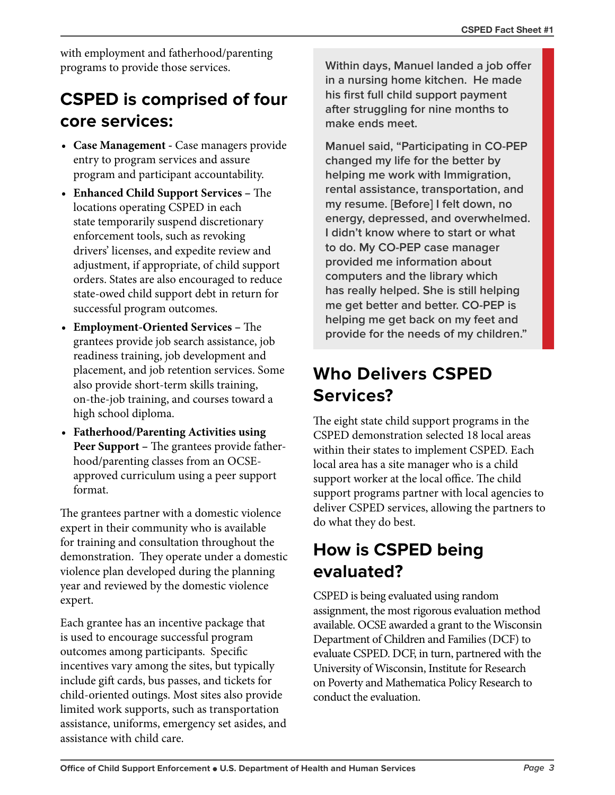with employment and fatherhood/parenting programs to provide those services.

## **CSPED is comprised of four core services:**

- **• Case Management -** Case managers provide entry to program services and assure program and participant accountability.
- **• Enhanced Child Support Services –** The locations operating CSPED in each state temporarily suspend discretionary enforcement tools, such as revoking drivers' licenses, and expedite review and adjustment, if appropriate, of child support orders. States are also encouraged to reduce state-owed child support debt in return for successful program outcomes.
- **• Employment-Oriented Services –** The grantees provide job search assistance, job readiness training, job development and placement, and job retention services. Some also provide short-term skills training, on-the-job training, and courses toward a high school diploma.
- **• Fatherhood/Parenting Activities using Peer Support –** The grantees provide fatherhood/parenting classes from an OCSEapproved curriculum using a peer support format.

The grantees partner with a domestic violence expert in their community who is available for training and consultation throughout the demonstration. They operate under a domestic violence plan developed during the planning year and reviewed by the domestic violence expert.

Each grantee has an incentive package that is used to encourage successful program outcomes among participants. Specific incentives vary among the sites, but typically include gift cards, bus passes, and tickets for child-oriented outings. Most sites also provide limited work supports, such as transportation assistance, uniforms, emergency set asides, and assistance with child care.

**Within days, Manuel landed a job offer in a nursing home kitchen. He made his first full child support payment after struggling for nine months to make ends meet.** 

**Manuel said, "Participating in CO-PEP changed my life for the better by helping me work with Immigration, rental assistance, transportation, and my resume. [Before] I felt down, no energy, depressed, and overwhelmed. I didn't know where to start or what to do. My CO-PEP case manager provided me information about computers and the library which has really helped. She is still helping me get better and better. CO-PEP is helping me get back on my feet and provide for the needs of my children."**

## **Who Delivers CSPED Services?**

The eight state child support programs in the CSPED demonstration selected 18 local areas within their states to implement CSPED. Each local area has a site manager who is a child support worker at the local office. The child support programs partner with local agencies to deliver CSPED services, allowing the partners to do what they do best.

## **How is CSPED being evaluated?**

CSPED is being evaluated using random assignment, the most rigorous evaluation method available. OCSE awarded a grant to the Wisconsin Department of Children and Families (DCF) to evaluate CSPED. DCF, in turn, partnered with the University of Wisconsin, Institute for Research on Poverty and Mathematica Policy Research to conduct the evaluation.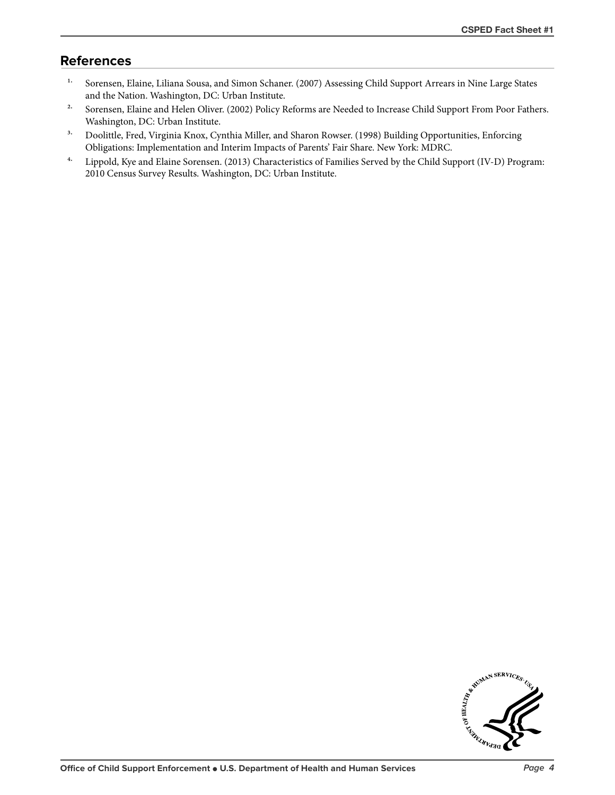### **References**

- <span id="page-3-0"></span><sup>1.</sup> Sorensen, Elaine, Liliana Sousa, and Simon Schaner. (2007) Assessing Child Support Arrears in Nine Large States and the Nation. Washington, DC: Urban Institute.
- <span id="page-3-1"></span><sup>2.</sup> Sorensen, Elaine and Helen Oliver. (2002) Policy Reforms are Needed to Increase Child Support From Poor Fathers. Washington, DC: Urban Institute.
- <span id="page-3-2"></span><sup>3.</sup> Doolittle, Fred, Virginia Knox, Cynthia Miller, and Sharon Rowser. (1998) Building Opportunities, Enforcing Obligations: Implementation and Interim Impacts of Parents' Fair Share. New York: MDRC.
- <span id="page-3-3"></span>4. Lippold, Kye and Elaine Sorensen. (2013) Characteristics of Families Served by the Child Support (IV-D) Program: 2010 Census Survey Results. Washington, DC: Urban Institute.

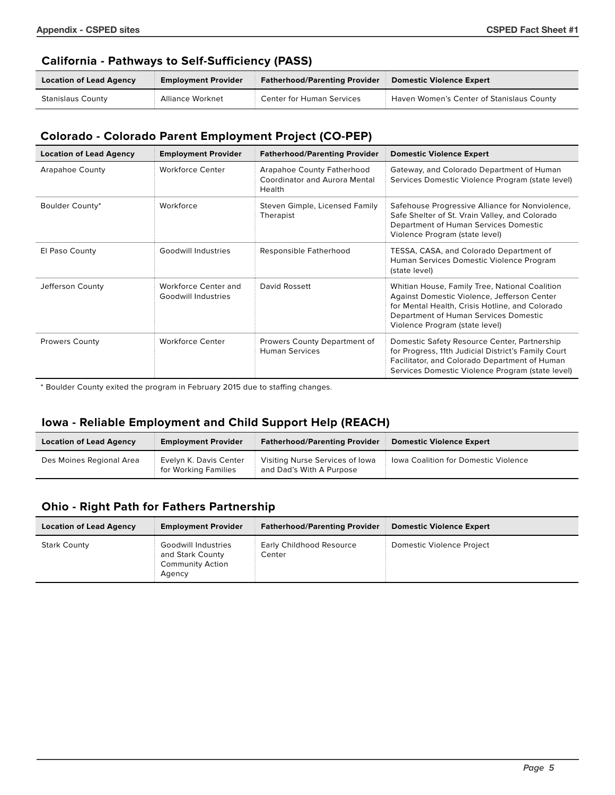#### **California - Pathways to Self-Sufficiency (PASS)**

| <b>Location of Lead Agency</b> | <b>Employment Provider</b> | <b>Fatherhood/Parenting Provider</b> | Domestic Violence Expert                         |
|--------------------------------|----------------------------|--------------------------------------|--------------------------------------------------|
| Stanislaus County              | Alliance Worknet           | Center for Human Services            | <b>Haven Women's Center of Stanislaus County</b> |

### **Colorado - Colorado Parent Employment Project (CO-PEP)**

| <b>Location of Lead Agency</b> | <b>Employment Provider</b>                  | <b>Fatherhood/Parenting Provider</b>                                         | <b>Domestic Violence Expert</b>                                                                                                                                                                                             |
|--------------------------------|---------------------------------------------|------------------------------------------------------------------------------|-----------------------------------------------------------------------------------------------------------------------------------------------------------------------------------------------------------------------------|
| Arapahoe County                | <b>Workforce Center</b>                     | Arapahoe County Fatherhood<br><b>Coordinator and Aurora Mental</b><br>Health | Gateway, and Colorado Department of Human<br>Services Domestic Violence Program (state level)                                                                                                                               |
| Boulder County*                | Workforce                                   | Steven Gimple, Licensed Family<br>Therapist                                  | Safehouse Progressive Alliance for Nonviolence,<br>Safe Shelter of St. Vrain Valley, and Colorado<br>Department of Human Services Domestic<br>Violence Program (state level)                                                |
| El Paso County                 | <b>Goodwill Industries</b>                  | Responsible Fatherhood                                                       | TESSA, CASA, and Colorado Department of<br>Human Services Domestic Violence Program<br>(state level)                                                                                                                        |
| Jefferson County               | Workforce Center and<br>Goodwill Industries | David Rossett                                                                | Whitian House, Family Tree, National Coalition<br>Against Domestic Violence, Jefferson Center<br>for Mental Health, Crisis Hotline, and Colorado<br>Department of Human Services Domestic<br>Violence Program (state level) |
| <b>Prowers County</b>          | <b>Workforce Center</b>                     | Prowers County Department of<br><b>Human Services</b>                        | Domestic Safety Resource Center, Partnership<br>for Progress, 11th Judicial District's Family Court<br>Facilitator, and Colorado Department of Human<br>Services Domestic Violence Program (state level)                    |

\* Boulder County exited the program in February 2015 due to staffing changes.

### **Iowa - Reliable Employment and Child Support Help (REACH)**

| <b>Location of Lead Agency</b> | <b>Employment Provider</b>                     | <b>Fatherhood/Parenting Provider</b>                        | Domestic Violence Expert             |
|--------------------------------|------------------------------------------------|-------------------------------------------------------------|--------------------------------------|
| Des Moines Regional Area       | Evelyn K. Davis Center<br>for Working Families | Visiting Nurse Services of Iowa<br>and Dad's With A Purpose | Iowa Coalition for Domestic Violence |

### **Ohio - Right Path for Fathers Partnership**

| <b>Location of Lead Agency</b> | <b>Employment Provider</b>                                                   | <b>Fatherhood/Parenting Provider</b> | <b>Domestic Violence Expert</b> |
|--------------------------------|------------------------------------------------------------------------------|--------------------------------------|---------------------------------|
| <b>Stark County</b>            | Goodwill Industries<br>and Stark County<br><b>Community Action</b><br>Agency | Early Childhood Resource<br>Center   | Domestic Violence Project       |